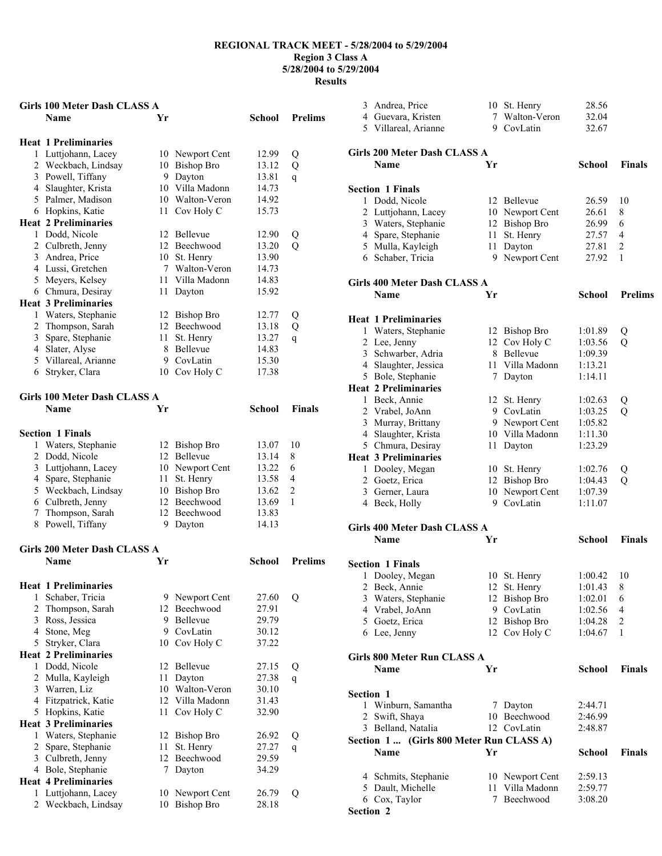### **Girls 100 Meter Dash CLASS A**

|   | <b>Name</b>                  | Yr |                   | <b>School</b> | <b>Prelims</b> |
|---|------------------------------|----|-------------------|---------------|----------------|
|   | <b>Heat 1 Preliminaries</b>  |    |                   |               |                |
| 1 | Luttjohann, Lacey            |    | 10 Newport Cent   | 12.99         | Q              |
|   | 2 Weckbach, Lindsay          | 10 | <b>Bishop Bro</b> | 13.12         | Q              |
|   | 3 Powell, Tiffany            | 9  | Dayton            | 13.81         | $\overline{q}$ |
|   | 4 Slaughter, Krista          | 10 | Villa Madonn      | 14.73         |                |
|   | 5 Palmer, Madison            | 10 | Walton-Veron      | 14.92         |                |
|   | 6 Hopkins, Katie             | 11 | Cov Holy C        | 15.73         |                |
|   | <b>Heat 2 Preliminaries</b>  |    |                   |               |                |
|   | 1 Dodd, Nicole               | 12 | <b>Bellevue</b>   | 12.90         | Q              |
|   | 2 Culbreth, Jenny            | 12 | Beechwood         | 13.20         | $\overline{Q}$ |
|   | 3 Andrea, Price              | 10 | St. Henry         | 13.90         |                |
|   | 4 Lussi, Gretchen            | 7  | Walton-Veron      | 14.73         |                |
|   | 5 Meyers, Kelsey             | 11 | Villa Madonn      | 14.83         |                |
|   | 6 Chmura, Desiray            | 11 | Dayton            | 15.92         |                |
|   | <b>Heat 3 Preliminaries</b>  |    |                   |               |                |
|   | 1 Waters, Stephanie          | 12 | <b>Bishop Bro</b> | 12.77         | Q              |
|   | 2 Thompson, Sarah            | 12 | Beechwood         | 13.18         | Q              |
|   | 3 Spare, Stephanie           | 11 | St. Henry         | 13.27         | $\mathbf q$    |
|   | 4 Slater, Alyse              | 8  | Bellevue          | 14.83         |                |
|   | 5 Villareal, Arianne         | 9  | CovLatin          | 15.30         |                |
| 6 | Stryker, Clara               | 10 | Cov Holy C        | 17.38         |                |
|   | Girls 100 Meter Dash CLASS A |    |                   |               |                |
|   | <b>Name</b>                  | Yr |                   | <b>School</b> | <b>Finals</b>  |
|   | <b>Section 1 Finals</b>      |    |                   |               |                |
| 1 | Waters, Stephanie            | 12 | Bishop Bro        | 13.07         | 10             |
|   | 2 Dodd, Nicole               | 12 | Bellevue          | 13.14         | 8              |
|   | 3 Luttjohann, Lacey          |    | 10 Newport Cent   | 13.22         | 6              |
|   | 4 Spare, Stephanie           | 11 | St. Henry         | 13.58         | $\overline{4}$ |
|   | 5 Weckbach, Lindsay          |    | 10 Bishop Bro     | 13.62         | $\overline{c}$ |
|   | 6 Culbreth, Jenny            |    | 12 Beechwood      | 13.69         | 1              |
| 7 | Thompson, Sarah              |    | 12 Beechwood      | 13.83         |                |
| 8 | Powell, Tiffany              | 9  | Dayton            | 14.13         |                |
|   |                              |    |                   |               |                |

# **Girls 200 Meter Dash CLASS A**

|   | Name                        | Yr |                   | School | <b>Prelims</b> |
|---|-----------------------------|----|-------------------|--------|----------------|
|   | <b>Heat 1 Preliminaries</b> |    |                   |        |                |
| 1 | Schaber, Tricia             | 9  | Newport Cent      | 27.60  | Q              |
| 2 | Thompson, Sarah             | 12 | Beechwood         | 27.91  |                |
| 3 | Ross, Jessica               | 9  | Bellevue          | 29.79  |                |
| 4 | Stone, Meg                  | 9  | CovLatin          | 30.12  |                |
| 5 | Stryker, Clara              | 10 | Cov Holy C        | 37.22  |                |
|   | <b>Heat 2 Preliminaries</b> |    |                   |        |                |
| 1 | Dodd, Nicole                | 12 | <b>Bellevue</b>   | 27.15  | Q              |
| 2 | Mulla, Kayleigh             | 11 | Dayton            | 27.38  | q              |
| 3 | Warren, Liz                 | 10 | Walton-Veron      | 30.10  |                |
| 4 | Fitzpatrick, Katie          | 12 | Villa Madonn      | 31.43  |                |
| 5 | Hopkins, Katie              | 11 | Cov Holy C        | 32.90  |                |
|   | <b>Heat 3 Preliminaries</b> |    |                   |        |                |
| 1 | Waters, Stephanie           | 12 | Bishop Bro        | 26.92  | Q              |
| 2 | Spare, Stephanie            | 11 | St. Henry         | 27.27  | q              |
| 3 | Culbreth, Jenny             | 12 | Beechwood         | 29.59  |                |
| 4 | Bole, Stephanie             | 7  | Dayton            | 34.29  |                |
|   | <b>Heat 4 Preliminaries</b> |    |                   |        |                |
| 1 | Luttjohann, Lacey           | 10 | Newport Cent      | 26.79  | Q              |
| 2 | Weckbach, Lindsay           | 10 | <b>Bishop Bro</b> | 28.18  |                |
|   |                             |    |                   |        |                |

|           | 3 Andrea, Price                          |    | 10 St. Henry                     | 28.56              |                |
|-----------|------------------------------------------|----|----------------------------------|--------------------|----------------|
|           | 4 Guevara, Kristen                       | 7  | Walton-Veron                     | 32.04              |                |
|           | 5 Villareal, Arianne                     | 9  | CovLatin                         | 32.67              |                |
|           |                                          |    |                                  |                    |                |
|           | <b>Girls 200 Meter Dash CLASS A</b>      |    |                                  |                    |                |
|           | Name                                     | Yr |                                  | <b>School</b>      | <b>Finals</b>  |
|           |                                          |    |                                  |                    |                |
|           | <b>Section 1 Finals</b>                  |    |                                  |                    |                |
|           | 1 Dodd, Nicole                           |    | 12 Bellevue                      | 26.59              | 10             |
|           | 2 Luttjohann, Lacey                      |    | 10 Newport Cent                  | 26.61              | 8              |
|           | 3 Waters, Stephanie                      |    | 12 Bishop Bro                    | 26.99              | 6              |
|           | 4 Spare, Stephanie                       | 11 | St. Henry                        | 27.57              | 4              |
|           | 5 Mulla, Kayleigh                        | 11 | Dayton                           | 27.81              | 2              |
|           | 6 Schaber, Tricia                        | 9  | Newport Cent                     | 27.92              | 1              |
|           |                                          |    |                                  |                    |                |
|           | <b>Girls 400 Meter Dash CLASS A</b>      |    |                                  |                    | <b>Prelims</b> |
|           | Name                                     | Yr |                                  | School             |                |
|           | <b>Heat 1 Preliminaries</b>              |    |                                  |                    |                |
|           | 1 Waters, Stephanie                      |    | 12 Bishop Bro                    | 1:01.89            |                |
|           | 2 Lee, Jenny                             |    | 12 Cov Holy C                    | 1:03.56            | Q<br>Q         |
|           | 3 Schwarber, Adria                       | 8  | Bellevue                         | 1:09.39            |                |
|           | 4 Slaughter, Jessica                     | 11 | Villa Madonn                     | 1:13.21            |                |
|           | 5 Bole, Stephanie                        | 7  | Dayton                           | 1:14.11            |                |
|           | <b>Heat 2 Preliminaries</b>              |    |                                  |                    |                |
|           | 1 Beck. Annie                            | 12 | St. Henry                        | 1:02.63            |                |
|           |                                          |    | 9 CovLatin                       | 1:03.25            | Q<br>Q         |
|           | 2 Vrabel, JoAnn<br>3 Murray, Brittany    |    | 9 Newport Cent                   |                    |                |
|           |                                          |    | 10 Villa Madonn                  | 1:05.82            |                |
|           | 4 Slaughter, Krista<br>5 Chmura, Desiray | 11 |                                  | 1:11.30<br>1:23.29 |                |
|           | <b>Heat 3 Preliminaries</b>              |    | Dayton                           |                    |                |
|           |                                          |    |                                  |                    |                |
|           | 1 Dooley, Megan                          |    | 10 St. Henry                     | 1:02.76            | Q              |
|           | 2 Goetz, Erica                           |    | 12 Bishop Bro<br>10 Newport Cent | 1:04.43            | Q              |
|           | 3 Gerner, Laura<br>4 Beck, Holly         | 9. | CovLatin                         | 1:07.39<br>1:11.07 |                |
|           |                                          |    |                                  |                    |                |
|           | <b>Girls 400 Meter Dash CLASS A</b>      |    |                                  |                    |                |
|           | Name                                     | Yr |                                  | <b>School</b>      | <b>Finals</b>  |
|           |                                          |    |                                  |                    |                |
|           | <b>Section 1 Finals</b>                  |    |                                  |                    |                |
|           | 1 Dooley, Megan                          |    | 10 St. Henry                     | 1:00.42            | 10             |
|           | 2 Beck, Annie                            |    | 12 St. Henry                     | 1:01.43            | 8              |
|           | 3 Waters, Stephanie                      | 12 | <b>Bishop Bro</b>                | 1:02.01            | 6              |
|           | 4 Vrabel, JoAnn                          |    | 9 CovLatin                       | 1:02.56            | 4              |
|           | 5 Goetz, Erica                           |    | 12 Bishop Bro                    | 1:04.28            | 2              |
|           | 6 Lee, Jenny                             |    | 12 Cov Holy C                    | 1:04.67            | 1              |
|           |                                          |    |                                  |                    |                |
|           | Girls 800 Meter Run CLASS A              |    |                                  |                    |                |
|           | <b>Name</b>                              | Yr |                                  | <b>School</b>      | <b>Finals</b>  |
|           |                                          |    |                                  |                    |                |
| Section 1 |                                          |    |                                  |                    |                |
|           | 1 Winburn, Samantha                      |    | 7 Dayton                         | 2:44.71            |                |
|           | 2 Swift, Shaya                           |    | 10 Beechwood                     | 2:46.99            |                |
|           | 3 Belland, Natalia                       |    | 12 CovLatin                      | 2:48.87            |                |
|           | Section 1 (Girls 800 Meter Run CLASS A)  |    |                                  |                    |                |
|           | Name                                     | Yr |                                  | School             | <b>Finals</b>  |
|           | 4 Schmits, Stephanie                     |    | 10 Newport Cent                  | 2:59.13            |                |
|           | 5 Dault, Michelle                        | 11 | Villa Madonn                     | 2:59.77            |                |
|           | 6 Cox, Taylor                            | 7  | Beechwood                        | 3:08.20            |                |
| Section 2 |                                          |    |                                  |                    |                |
|           |                                          |    |                                  |                    |                |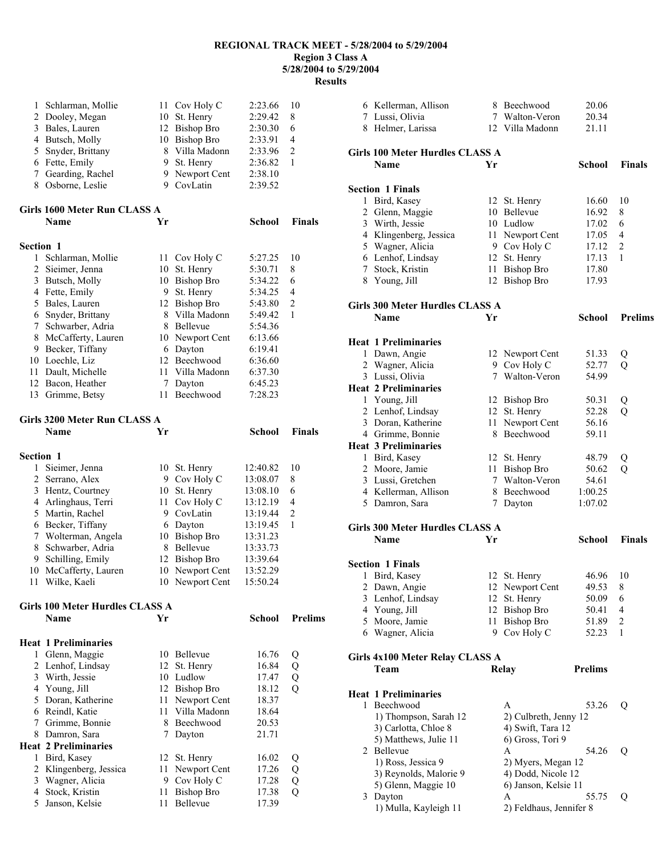| 1         | Schlarman, Mollie                  | 11       | Cov Holy C                    | 2:23.66        | 10             |
|-----------|------------------------------------|----------|-------------------------------|----------------|----------------|
|           |                                    |          |                               |                |                |
|           | 2 Dooley, Megan                    | 10       | St. Henry                     | 2:29.42        | 8              |
|           | 3 Bales, Lauren                    | 12       | <b>Bishop Bro</b>             | 2:30.30        | 6              |
|           | 4 Butsch, Molly                    |          | 10 Bishop Bro                 | 2:33.91        | 4              |
|           | 5 Snyder, Brittany                 | 8        | Villa Madonn                  | 2:33.96        | 2              |
|           | 6 Fette, Emily                     | 9        | St. Henry                     | 2:36.82        | 1              |
|           | 7 Gearding, Rachel                 | 9.       | Newport Cent                  | 2:38.10        |                |
|           | 8 Osborne, Leslie                  | 9        | CovLatin                      | 2:39.52        |                |
|           |                                    |          |                               |                |                |
|           | Girls 1600 Meter Run CLASS A       |          |                               |                |                |
|           |                                    |          |                               |                |                |
|           | <b>Name</b>                        | Yr       |                               | School         | Finals         |
|           |                                    |          |                               |                |                |
| Section 1 |                                    |          |                               |                |                |
| 1         | Schlarman, Mollie                  |          | 11 Cov Holy C                 | 5:27.25        | 10             |
|           | 2 Sieimer, Jenna                   | 10       | St. Henry                     | 5:30.71        | 8              |
|           | 3 Butsch, Molly                    | 10       | <b>Bishop Bro</b>             | 5:34.22        | 6              |
|           | 4 Fette, Emily                     | 9.       | St. Henry                     | 5:34.25        | 4              |
|           | 5 Bales, Lauren                    |          | 12 Bishop Bro                 | 5:43.80        | 2              |
|           | 6 Snyder, Brittany                 | 8        | Villa Madonn                  | 5:49.42        | 1              |
|           |                                    | 8        |                               |                |                |
|           | 7 Schwarber, Adria                 |          | Bellevue                      | 5:54.36        |                |
|           | 8 McCafferty, Lauren               | 10       | Newport Cent                  | 6:13.66        |                |
|           | 9 Becker, Tiffany                  | 6        | Dayton                        | 6:19.41        |                |
|           | 10 Loechle, Liz                    |          | 12 Beechwood                  | 6:36.60        |                |
|           | 11 Dault, Michelle                 | 11       | Villa Madonn                  | 6:37.30        |                |
|           | 12 Bacon, Heather                  | 7        | Dayton                        | 6:45.23        |                |
|           | 13 Grimme, Betsy                   | 11       | Beechwood                     | 7:28.23        |                |
|           |                                    |          |                               |                |                |
|           | Girls 3200 Meter Run CLASS A       |          |                               |                |                |
|           | <b>Name</b>                        | Yr       |                               | <b>School</b>  | Finals         |
|           |                                    |          |                               |                |                |
|           |                                    |          |                               |                |                |
| Section 1 |                                    |          |                               |                |                |
| 1         | Sieimer, Jenna                     |          | 10 St. Henry                  | 12:40.82       | 10             |
|           | 2 Serrano, Alex                    |          | 9 Cov Holy C                  | 13:08.07       | 8              |
|           | 3 Hentz, Courtney                  |          | 10 St. Henry                  | 13:08.10       | 6              |
|           | 4 Arlinghaus, Terri                | 11       | Cov Holy C                    | 13:12.19       | 4              |
|           | 5 Martin, Rachel                   | 9.       | CovLatin                      | 13:19.44       | 2              |
|           | 6 Becker, Tiffany                  | 6        | Dayton                        | 13:19.45       | 1              |
|           | 7 Wolterman, Angela                | 10       | <b>Bishop Bro</b>             | 13:31.23       |                |
|           |                                    |          |                               |                |                |
|           | 8 Schwarber, Adria                 | 8        | Bellevue                      | 13:33.73       |                |
| 9.        | Schilling, Emily                   | 12       | <b>Bishop Bro</b>             | 13:39.64       |                |
| 10        | McCafferty, Lauren                 |          | 10 Newport Cent               | 13:52.29       |                |
|           | 11 Wilke, Kaeli                    |          | 10 Newport Cent               | 15:50.24       |                |
|           |                                    |          |                               |                |                |
|           | Girls 100 Meter Hurdles CLASS A    |          |                               |                |                |
|           | Name                               | Yr       |                               | School         | <b>Prelims</b> |
|           |                                    |          |                               |                |                |
|           | <b>Heat 1 Preliminaries</b>        |          |                               |                |                |
| 1         | Glenn, Maggie                      |          | 10 Bellevue                   | 16.76          | Q              |
|           |                                    |          |                               |                |                |
|           |                                    |          |                               |                |                |
|           | 2 Lenhof, Lindsay                  |          | 12 St. Henry                  | 16.84          | Q              |
|           | 3 Wirth, Jessie                    |          | 10 Ludlow                     | 17.47          | Q              |
|           | 4 Young, Jill                      |          | 12 Bishop Bro                 | 18.12          | Q              |
|           | 5 Doran, Katherine                 | 11       | Newport Cent                  | 18.37          |                |
|           | 6 Reindl, Katie                    | 11       | Villa Madonn                  | 18.64          |                |
|           | 7 Grimme, Bonnie                   | 8        | Beechwood                     | 20.53          |                |
|           | 8 Damron, Sara                     | 7        | Dayton                        | 21.71          |                |
|           | <b>Heat 2 Preliminaries</b>        |          |                               |                |                |
| 1         |                                    | 12       |                               | 16.02          |                |
|           | Bird, Kasey                        | 11       | St. Henry                     |                | Q              |
|           | 2 Klingenberg, Jessica             |          | Newport Cent                  | 17.26          | Q              |
|           | 3 Wagner, Alicia                   | 9.       | Cov Holy C                    | 17.28          | Q              |
| 5         | 4 Stock, Kristin<br>Janson, Kelsie | 11<br>11 | <b>Bishop Bro</b><br>Bellevue | 17.38<br>17.39 | Q              |

|   | 6 Kellerman, Allison                    |    | 8 Beechwood                 | 20.06          |                |
|---|-----------------------------------------|----|-----------------------------|----------------|----------------|
|   | 7 Lussi, Olivia                         |    | 7 Walton-Veron              | 20.34          |                |
|   | 8 Helmer, Larissa                       |    | 12 Villa Madonn             | 21.11          |                |
|   |                                         |    |                             |                |                |
|   | Girls 100 Meter Hurdles CLASS A         |    |                             |                |                |
|   | Name                                    | Yr |                             | School         | <b>Finals</b>  |
|   |                                         |    |                             |                |                |
|   | <b>Section 1 Finals</b>                 |    |                             | 16.60          |                |
|   | 1 Bird, Kasey                           |    | 12 St. Henry<br>10 Bellevue | 16.92          | 10<br>8        |
|   | 2 Glenn, Maggie<br>3 Wirth, Jessie      |    | 10 Ludlow                   | 17.02          | 6              |
|   | 4 Klingenberg, Jessica                  |    | 11 Newport Cent             | 17.05          | 4              |
|   | 5 Wagner, Alicia                        |    | 9 Cov Holy C                | 17.12          | $\overline{2}$ |
|   | 6 Lenhof, Lindsay                       |    | 12 St. Henry                | 17.13          | 1              |
|   | 7 Stock, Kristin                        |    | 11 Bishop Bro               | 17.80          |                |
|   | 8 Young, Jill                           |    | 12 Bishop Bro               | 17.93          |                |
|   |                                         |    |                             |                |                |
|   | Girls 300 Meter Hurdles CLASS A         |    |                             |                |                |
|   | <b>Name</b>                             | Yr |                             | <b>School</b>  | <b>Prelims</b> |
|   | <b>Heat 1 Preliminaries</b>             |    |                             |                |                |
|   | 1 Dawn, Angie                           |    | 12 Newport Cent             | 51.33          | Q              |
|   | 2 Wagner, Alicia                        |    | 9 Cov Holy C                | 52.77          | Q              |
|   | 3 Lussi, Olivia                         |    | 7 Walton-Veron              | 54.99          |                |
|   | <b>Heat 2 Preliminaries</b>             |    |                             |                |                |
|   | 1 Young, Jill                           |    | 12 Bishop Bro               | 50.31          | Q              |
|   | 2 Lenhof, Lindsay                       |    | 12 St. Henry                | 52.28          | Q              |
|   | 3 Doran, Katherine                      |    | 11 Newport Cent             | 56.16          |                |
|   | 4 Grimme, Bonnie                        |    | 8 Beechwood                 | 59.11          |                |
|   | <b>Heat 3 Preliminaries</b>             |    |                             |                |                |
|   | 1 Bird, Kasey                           |    | 12 St. Henry                | 48.79          | Q              |
|   | 2 Moore, Jamie                          |    | 11 Bishop Bro               | 50.62          | Q              |
|   | 3 Lussi, Gretchen                       |    | 7 Walton-Veron              | 54.61          |                |
|   | 4 Kellerman, Allison                    |    | 8 Beechwood                 | 1:00.25        |                |
|   | 5 Damron, Sara                          |    | 7 Dayton                    | 1:07.02        |                |
|   |                                         |    |                             |                |                |
|   | Girls 300 Meter Hurdles CLASS A         |    |                             |                |                |
|   | <b>Name</b>                             | Yr |                             | <b>School</b>  | <b>Finals</b>  |
|   | <b>Section 1 Finals</b>                 |    |                             |                |                |
| I | Bird, Kasey                             |    | 12 St. Henry                | 46.96          | 10             |
| 2 | Dawn, Angie                             |    | 12 Newport Cent             | 49.53          | 8              |
| 3 | Lenhof, Lindsay                         | 12 | St. Henry                   | 50.09          | 6              |
| 4 | Young, Jill                             | 12 | <b>Bishop Bro</b>           | 50.41          | 4              |
| 5 | Moore, Jamie                            | 11 | <b>Bishop Bro</b>           | 51.89          | 2              |
| 6 | Wagner, Alicia                          |    | 9 Cov Holy C                | 52.23          | 1              |
|   |                                         |    |                             |                |                |
|   | Girls 4x100 Meter Relay CLASS A<br>Team |    | Relay                       | <b>Prelims</b> |                |
|   |                                         |    |                             |                |                |
|   | <b>Heat 1 Preliminaries</b>             |    |                             |                |                |
| 1 | Beechwood                               |    | A                           | 53.26          | Q              |
|   | 1) Thompson, Sarah 12                   |    | 2) Culbreth, Jenny 12       |                |                |
|   | 3) Carlotta, Chloe 8                    |    | 4) Swift, Tara 12           |                |                |
|   | 5) Matthews, Julie 11                   |    | 6) Gross, Tori 9            |                |                |
|   | 2 Bellevue                              |    | A                           | 54.26          | Q              |
|   | 1) Ross, Jessica 9                      |    | 2) Myers, Megan 12          |                |                |
|   | 3) Reynolds, Malorie 9                  |    | 4) Dodd, Nicole 12          |                |                |
|   | 5) Glenn, Maggie 10                     |    | 6) Janson, Kelsie 11        |                |                |
| 3 | Dayton                                  |    | A                           | 55.75          | Q              |
|   | 1) Mulla, Kayleigh 11                   |    | 2) Feldhaus, Jennifer 8     |                |                |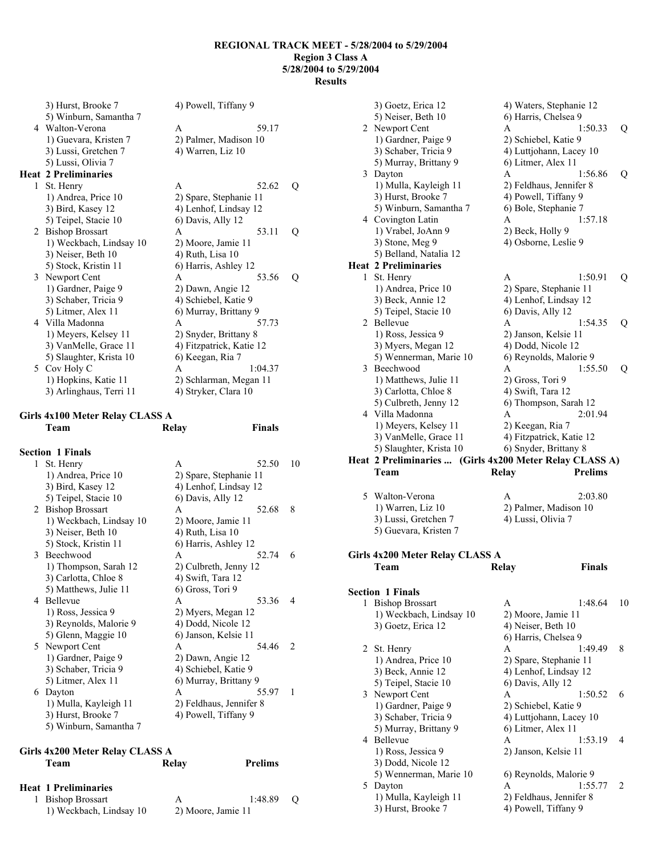|   | 3) Hurst, Brooke 7          | 4) Powell, Tiffany 9     |   |
|---|-----------------------------|--------------------------|---|
|   | 5) Winburn, Samantha 7      |                          |   |
|   | 4 Walton-Verona             | 59.17<br>A               |   |
|   | 1) Guevara, Kristen 7       | 2) Palmer, Madison 10    |   |
|   | 3) Lussi, Gretchen 7        | 4) Warren, Liz 10        |   |
|   | 5) Lussi, Olivia 7          |                          |   |
|   | <b>Heat 2 Preliminaries</b> |                          |   |
| 1 | St. Henry                   | 52.62<br>A               | Q |
|   | 1) Andrea, Price 10         | 2) Spare, Stephanie 11   |   |
|   | 3) Bird, Kasey 12           | 4) Lenhof, Lindsay 12    |   |
|   | 5) Teipel, Stacie 10        | 6) Davis, Ally 12        |   |
|   | 2 Bishop Brossart           | 53.11<br>A               | Q |
|   | 1) Weckbach, Lindsay 10     | 2) Moore, Jamie 11       |   |
|   | 3) Neiser, Beth 10          | 4) Ruth, Lisa 10         |   |
|   | 5) Stock, Kristin 11        | 6) Harris, Ashley 12     |   |
|   | 3 Newport Cent              | A<br>53.56               | Q |
|   | 1) Gardner, Paige 9         | 2) Dawn, Angie 12        |   |
|   | 3) Schaber, Tricia 9        | 4) Schiebel, Katie 9     |   |
|   | 5) Litmer, Alex 11          | 6) Murray, Brittany 9    |   |
|   | 4 Villa Madonna             | 57.73<br>A               |   |
|   | 1) Meyers, Kelsey 11        | 2) Snyder, Brittany 8    |   |
|   | 3) VanMelle, Grace 11       | 4) Fitzpatrick, Katie 12 |   |
|   | 5) Slaughter, Krista 10     | 6) Keegan, Ria 7         |   |
|   | 5 Cov Holy C                | 1:04.37<br>A             |   |
|   | 1) Hopkins, Katie 11        | 2) Schlarman, Megan 11   |   |
|   | 3) Arlinghaus, Terri 11     | 4) Stryker, Clara 10     |   |

### **Girls 4x100 Meter Relay CLASS A**

|   | <b>Section 1 Finals</b> |                         |                |
|---|-------------------------|-------------------------|----------------|
| 1 | St. Henry               | A<br>52.50              | 10             |
|   | 1) Andrea, Price 10     | 2) Spare, Stephanie 11  |                |
|   | 3) Bird, Kasey 12       | 4) Lenhof, Lindsay 12   |                |
|   | 5) Teipel, Stacie 10    | 6) Davis, Ally 12       |                |
|   | 2 Bishop Brossart       | 52.68<br>A              | 8              |
|   | 1) Weckbach, Lindsay 10 | 2) Moore, Jamie 11      |                |
|   | 3) Neiser, Beth 10      | 4) Ruth, Lisa 10        |                |
|   | 5) Stock, Kristin 11    | 6) Harris, Ashley 12    |                |
|   | 3 Beechwood             | 52.74<br>A              | 6              |
|   | 1) Thompson, Sarah 12   | 2) Culbreth, Jenny 12   |                |
|   | 3) Carlotta, Chloe 8    | 4) Swift, Tara 12       |                |
|   | 5) Matthews, Julie 11   | 6) Gross, Tori 9        |                |
|   | 4 Bellevue              | 53.36<br>A              | $\overline{4}$ |
|   | 1) Ross, Jessica 9      | 2) Myers, Megan 12      |                |
|   | 3) Reynolds, Malorie 9  | 4) Dodd, Nicole 12      |                |
|   | 5) Glenn, Maggie 10     | 6) Janson, Kelsie 11    |                |
|   | 5 Newport Cent          | 54 46<br>A              | $\mathcal{D}$  |
|   | 1) Gardner, Paige 9     | 2) Dawn, Angie 12       |                |
|   | 3) Schaber, Tricia 9    | 4) Schiebel, Katie 9    |                |
|   | 5) Litmer, Alex 11      | 6) Murray, Brittany 9   |                |
|   | 6 Dayton                | A<br>55.97              | $\mathbf{1}$   |
|   | 1) Mulla, Kayleigh 11   | 2) Feldhaus, Jennifer 8 |                |
|   | 3) Hurst, Brooke 7      | 4) Powell, Tiffany 9    |                |
|   | 5) Winburn, Samantha 7  |                         |                |
|   |                         |                         |                |

**Team Relay Finals** 

| Girls 4x200 Meter Relay CLASS A |                    |                |     |  |  |
|---------------------------------|--------------------|----------------|-----|--|--|
| Team                            | Relay              | <b>Prelims</b> |     |  |  |
| <b>Heat 1 Preliminaries</b>     |                    |                |     |  |  |
| 1 Bishop Brossart               | A                  | 1:48.89        | - 0 |  |  |
| 1) Weckbach, Lindsay 10         | 2) Moore, Jamie 11 |                |     |  |  |

|   | 3) Goetz, Erica 12                          | 4) Waters, Stephanie 12                                 |    |
|---|---------------------------------------------|---------------------------------------------------------|----|
|   | 5) Neiser, Beth 10                          | 6) Harris, Chelsea 9                                    |    |
|   | 2 Newport Cent                              | 1:50.33<br>A                                            | Q  |
|   | 1) Gardner, Paige 9                         | 2) Schiebel, Katie 9                                    |    |
|   | 3) Schaber, Tricia 9                        | 4) Luttjohann, Lacey 10                                 |    |
|   | 5) Murray, Brittany 9                       | 6) Litmer, Alex 11                                      |    |
|   | 3 Dayton                                    | 1:56.86<br>A                                            | Q  |
|   |                                             |                                                         |    |
|   | 1) Mulla, Kayleigh 11                       | 2) Feldhaus, Jennifer 8                                 |    |
|   | 3) Hurst, Brooke 7                          | 4) Powell, Tiffany 9                                    |    |
|   | 5) Winburn, Samantha 7                      | 6) Bole, Stephanie 7                                    |    |
|   | 4 Covington Latin                           | 1:57.18<br>A                                            |    |
|   | 1) Vrabel, JoAnn 9                          | 2) Beck, Holly 9                                        |    |
|   | 3) Stone, Meg 9                             | 4) Osborne, Leslie 9                                    |    |
|   | 5) Belland, Natalia 12                      |                                                         |    |
|   | <b>Heat 2 Preliminaries</b>                 |                                                         |    |
| 1 | St. Henry                                   | A<br>1:50.91                                            | Q  |
|   | 1) Andrea, Price 10                         | 2) Spare, Stephanie 11                                  |    |
|   | 3) Beck, Annie 12                           | 4) Lenhof, Lindsay 12                                   |    |
|   | 5) Teipel, Stacie 10                        | 6) Davis, Ally 12                                       |    |
|   |                                             |                                                         |    |
|   | 2 Bellevue                                  | 1:54.35<br>A                                            | Q  |
|   | 1) Ross, Jessica 9                          | 2) Janson, Kelsie 11                                    |    |
|   | 3) Myers, Megan 12                          | 4) Dodd, Nicole 12                                      |    |
|   | 5) Wennerman, Marie 10                      | 6) Reynolds, Malorie 9                                  |    |
|   | 3 Beechwood                                 | 1:55.50<br>A                                            | Q  |
|   | 1) Matthews, Julie 11                       | 2) Gross, Tori 9                                        |    |
|   | 3) Carlotta, Chloe 8                        | 4) Swift, Tara 12                                       |    |
|   | 5) Culbreth, Jenny 12                       | 6) Thompson, Sarah 12                                   |    |
|   | 4 Villa Madonna                             | 2:01.94<br>A                                            |    |
|   | 1) Meyers, Kelsey 11                        | 2) Keegan, Ria 7                                        |    |
|   | 3) VanMelle, Grace 11                       | 4) Fitzpatrick, Katie 12                                |    |
|   | 5) Slaughter, Krista 10                     | 6) Snyder, Brittany 8                                   |    |
|   |                                             |                                                         |    |
|   |                                             |                                                         |    |
|   |                                             | Heat 2 Preliminaries  (Girls 4x200 Meter Relay CLASS A) |    |
|   | Team                                        | <b>Prelims</b><br>Relay                                 |    |
|   |                                             |                                                         |    |
|   | 5 Walton-Verona                             | 2:03.80<br>A                                            |    |
|   | 1) Warren, Liz 10                           | 2) Palmer, Madison 10                                   |    |
|   | 3) Lussi, Gretchen 7                        | 4) Lussi, Olivia 7                                      |    |
|   |                                             |                                                         |    |
|   | 5) Guevara, Kristen 7                       |                                                         |    |
|   |                                             |                                                         |    |
|   | Girls 4x200 Meter Relay CLASS A             |                                                         |    |
|   | Team                                        | Finals<br>Relay                                         |    |
|   |                                             |                                                         |    |
|   | <b>Section 1 Finals</b>                     |                                                         |    |
| 1 | <b>Bishop Brossart</b>                      | A<br>1:48.64                                            | 10 |
|   | 1) Weckbach, Lindsay 10                     | 2) Moore, Jamie 11                                      |    |
|   | 3) Goetz, Erica 12                          | 4) Neiser, Beth 10                                      |    |
|   |                                             |                                                         |    |
| 2 |                                             | 6) Harris, Chelsea 9<br>1:49.49<br>A                    | 8  |
|   | St. Henry                                   |                                                         |    |
|   | 1) Andrea, Price 10                         | 2) Spare, Stephanie 11                                  |    |
|   | 3) Beck, Annie 12                           | 4) Lenhof, Lindsay 12                                   |    |
|   | 5) Teipel, Stacie 10                        | 6) Davis, Ally 12                                       |    |
|   | 3 Newport Cent                              | 1:50.52<br>A                                            | 6  |
|   | 1) Gardner, Paige 9                         | 2) Schiebel, Katie 9                                    |    |
|   | 3) Schaber, Tricia 9                        | 4) Luttjohann, Lacey 10                                 |    |
|   | 5) Murray, Brittany 9                       | 6) Litmer, Alex 11                                      |    |
|   | 4 Bellevue                                  | A<br>1:53.19                                            | 4  |
|   | 1) Ross, Jessica 9                          | 2) Janson, Kelsie 11                                    |    |
|   | 3) Dodd, Nicole 12                          |                                                         |    |
|   |                                             |                                                         |    |
|   | 5) Wennerman, Marie 10                      | 6) Reynolds, Malorie 9<br>1:55.77<br>A                  | 2  |
|   | 5 Dayton                                    |                                                         |    |
|   | 1) Mulla, Kayleigh 11<br>3) Hurst, Brooke 7 | 2) Feldhaus, Jennifer 8<br>4) Powell, Tiffany 9         |    |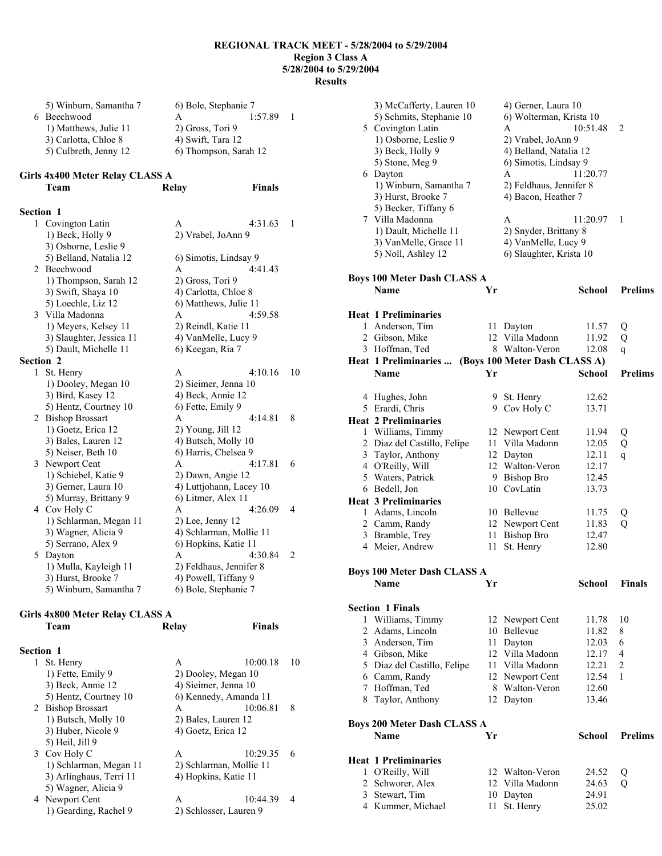| 5) Winburn, Samantha 7 | 6) Bole, Stephanie 7  |        |  |
|------------------------|-----------------------|--------|--|
| 6 Beechwood            |                       | 1.5789 |  |
| 1) Matthews, Julie 11  | 2) Gross, Tori 9      |        |  |
| 3) Carlotta, Chloe 8   | 4) Swift, Tara 12     |        |  |
| 5) Culbreth, Jenny 12  | 6) Thompson, Sarah 12 |        |  |

# **Girls 4x400 Meter Relay CLASS A**

|                  | Team                     | Relay                   | <b>Finals</b>           |              |
|------------------|--------------------------|-------------------------|-------------------------|--------------|
| <b>Section 1</b> |                          |                         |                         |              |
| 1                | Covington Latin          | A                       | 4:31.63                 | $\mathbf{1}$ |
|                  | 1) Beck, Holly 9         | 2) Vrabel, JoAnn 9      |                         |              |
|                  | 3) Osborne, Leslie 9     |                         |                         |              |
|                  | 5) Belland, Natalia 12   | 6) Simotis, Lindsay 9   |                         |              |
|                  | 2 Beechwood              | A                       | 4:41.43                 |              |
|                  | 1) Thompson, Sarah 12    | 2) Gross, Tori 9        |                         |              |
|                  | 3) Swift, Shaya 10       | 4) Carlotta, Chloe 8    |                         |              |
|                  | 5) Loechle, Liz 12       | 6) Matthews, Julie 11   |                         |              |
|                  | 3 Villa Madonna          | A                       | 4:59.58                 |              |
|                  | 1) Meyers, Kelsey 11     | 2) Reindl, Katie 11     |                         |              |
|                  | 3) Slaughter, Jessica 11 | 4) VanMelle, Lucy 9     |                         |              |
|                  | 5) Dault, Michelle 11    | 6) Keegan, Ria 7        |                         |              |
| <b>Section 2</b> |                          |                         |                         |              |
| 1                | St. Henry                | A                       | 4:10.16                 | 10           |
|                  | 1) Dooley, Megan 10      | 2) Sieimer, Jenna 10    |                         |              |
|                  | 3) Bird, Kasey 12        | 4) Beck, Annie 12       |                         |              |
|                  | 5) Hentz, Courtney 10    | 6) Fette, Emily 9       |                         |              |
|                  | 2 Bishop Brossart        | A                       | 4:14.81                 | 8            |
|                  | 1) Goetz, Erica 12       | 2) Young, Jill 12       |                         |              |
|                  | 3) Bales, Lauren 12      | 4) Butsch, Molly 10     |                         |              |
|                  | 5) Neiser, Beth 10       | 6) Harris, Chelsea 9    |                         |              |
|                  | 3 Newport Cent           | $\mathsf{A}$            | 4:17.81                 | 6            |
|                  | 1) Schiebel, Katie 9     | 2) Dawn, Angie 12       |                         |              |
|                  | 3) Gerner, Laura 10      |                         | 4) Luttjohann, Lacey 10 |              |
|                  | 5) Murray, Brittany 9    | 6) Litmer, Alex 11      |                         |              |
|                  | 4 Cov Holy C             | A                       | 4:26.09                 | 4            |
|                  | 1) Schlarman, Megan 11   | $2)$ Lee, Jenny 12      |                         |              |
|                  | 3) Wagner, Alicia 9      |                         | 4) Schlarman, Mollie 11 |              |
|                  | 5) Serrano, Alex 9       | 6) Hopkins, Katie 11    |                         |              |
|                  | 5 Dayton                 | A                       | 4:30.84                 | 2            |
|                  | 1) Mulla, Kayleigh 11    | 2) Feldhaus, Jennifer 8 |                         |              |
|                  | 3) Hurst, Brooke 7       | 4) Powell, Tiffany 9    |                         |              |
|                  | 5) Winburn, Samantha 7   | 6) Bole, Stephanie 7    |                         |              |

# **Girls 4x800 Meter Relay CLASS A Team Relay Finals**

| <b>Section 1</b> |                         |                    |                         |    |
|------------------|-------------------------|--------------------|-------------------------|----|
|                  | 1 St. Henry             | A                  | 10:00.18                | 10 |
|                  | 1) Fette, Emily 9       |                    | 2) Dooley, Megan 10     |    |
|                  | 3) Beck, Annie 12       |                    | 4) Sieimer, Jenna 10    |    |
|                  | 5) Hentz, Courtney 10   |                    | 6) Kennedy, Amanda 11   |    |
|                  | 2 Bishop Brossart       | A                  | 10:06.81                | 8  |
|                  | 1) Butsch, Molly 10     |                    | 2) Bales, Lauren 12     |    |
|                  | 3) Huber, Nicole 9      | 4) Goetz, Erica 12 |                         |    |
|                  | 5) Heil, Jill 9         |                    |                         |    |
|                  | 3 Cov Holy C            | A                  | 10:29.35                | 6  |
|                  | 1) Schlarman, Megan 11  |                    | 2) Schlarman, Mollie 11 |    |
|                  | 3) Arlinghaus, Terri 11 |                    | 4) Hopkins, Katie 11    |    |
|                  | 5) Wagner, Alicia 9     |                    |                         |    |
|                  | 4 Newport Cent          | A                  | 10:44.39                | 4  |
|                  | 1) Gearding, Rachel 9   |                    | 2) Schlosser, Lauren 9  |    |
|                  |                         |                    |                         |    |

|   | 3) McCafferty, Lauren 10           |    | 4) Gerner, Laura 10           |               |                |
|---|------------------------------------|----|-------------------------------|---------------|----------------|
|   | 5) Schmits, Stephanie 10           |    | 6) Wolterman, Krista 10       |               |                |
|   | 5 Covington Latin                  |    | A                             | 10:51.48      | 2              |
|   | 1) Osborne, Leslie 9               |    |                               |               |                |
|   |                                    |    | 2) Vrabel, JoAnn 9            |               |                |
|   | 3) Beck, Holly 9                   |    | 4) Belland, Natalia 12        |               |                |
|   | 5) Stone, Meg 9                    |    | 6) Simotis, Lindsay 9         |               |                |
|   | 6 Dayton                           |    | A                             | 11:20.77      |                |
|   | 1) Winburn, Samantha 7             |    | 2) Feldhaus, Jennifer 8       |               |                |
|   | 3) Hurst, Brooke 7                 |    | 4) Bacon, Heather 7           |               |                |
|   | 5) Becker, Tiffany 6               |    |                               |               |                |
|   | 7 Villa Madonna                    |    | A                             | 11:20.97      | 1              |
|   | 1) Dault, Michelle 11              |    | 2) Snyder, Brittany 8         |               |                |
|   | 3) VanMelle, Grace 11              |    | 4) VanMelle, Lucy 9           |               |                |
|   | 5) Noll, Ashley 12                 |    | 6) Slaughter, Krista 10       |               |                |
|   |                                    |    |                               |               |                |
|   |                                    |    |                               |               |                |
|   | <b>Boys 100 Meter Dash CLASS A</b> |    |                               |               |                |
|   | Name                               | Yr |                               | <b>School</b> | <b>Prelims</b> |
|   |                                    |    |                               |               |                |
|   | <b>Heat 1 Preliminaries</b>        |    |                               |               |                |
|   | 1 Anderson, Tim                    | 11 | Dayton                        | 11.57         | Q              |
|   | 2 Gibson, Mike                     |    | 12 Villa Madonn               | 11.92         | Q              |
|   | 3 Hoffman, Ted                     |    | 8 Walton-Veron                | 12.08         | q              |
|   | Heat 1 Preliminaries               |    | (Boys 100 Meter Dash CLASS A) |               |                |
|   | Name                               | Yr |                               | <b>School</b> | <b>Prelims</b> |
|   |                                    |    |                               |               |                |
|   |                                    |    |                               | 12.62         |                |
|   | 4 Hughes, John                     |    | 9 St. Henry                   |               |                |
|   | 5 Erardi, Chris                    |    | 9 Cov Holy C                  | 13.71         |                |
|   | <b>Heat 2 Preliminaries</b>        |    |                               |               |                |
|   | 1 Williams, Timmy                  |    | 12 Newport Cent               | 11.94         | Q              |
|   | 2 Diaz del Castillo, Felipe        |    | 11 Villa Madonn               | 12.05         | Q              |
|   | 3 Taylor, Anthony                  | 12 | Dayton                        | 12.11         | q              |
|   | 4 O'Reilly, Will                   |    | 12 Walton-Veron               | 12.17         |                |
|   | 5 Waters, Patrick                  |    | 9 Bishop Bro                  | 12.45         |                |
|   | 6 Bedell, Jon                      |    | 10 CovLatin                   | 13.73         |                |
|   | <b>Heat 3 Preliminaries</b>        |    |                               |               |                |
|   | 1 Adams, Lincoln                   |    | 10 Bellevue                   | 11.75         | Q              |
|   | 2 Camm, Randy                      |    | 12 Newport Cent               | 11.83         | Q              |
|   |                                    | 11 |                               |               |                |
|   | 3 Bramble, Trey                    |    | <b>Bishop Bro</b>             | 12.47         |                |
|   | 4 Meier, Andrew                    | 11 | St. Henry                     | 12.80         |                |
|   |                                    |    |                               |               |                |
|   | <b>Boys 100 Meter Dash CLASS A</b> |    |                               |               |                |
|   | Name                               | Yr |                               | <b>School</b> | <b>Finals</b>  |
|   |                                    |    |                               |               |                |
|   | <b>Section 1 Finals</b>            |    |                               |               |                |
| 1 | Williams, Timmy                    |    | 12 Newport Cent               | 11.78         | 10             |
|   | 2 Adams, Lincoln                   |    | 10 Bellevue                   | 11.82         | 8              |
|   | 3 Anderson, Tim                    | 11 | Dayton                        | 12.03         | 6              |
|   | 4 Gibson, Mike                     |    | 12 Villa Madonn               | 12.17         | 4              |
|   | 5 Diaz del Castillo, Felipe        | 11 | Villa Madonn                  | 12.21         | $\overline{c}$ |
|   | 6 Camm, Randy                      | 12 | Newport Cent                  | 12.54         | 1              |
|   | 7 Hoffman, Ted                     | 8  | Walton-Veron                  | 12.60         |                |
|   |                                    |    |                               | 13.46         |                |
|   | 8 Taylor, Anthony                  |    | 12 Dayton                     |               |                |
|   |                                    |    |                               |               |                |
|   | <b>Boys 200 Meter Dash CLASS A</b> |    |                               |               |                |
|   | Name                               | Yr |                               | <b>School</b> | <b>Prelims</b> |
|   |                                    |    |                               |               |                |
|   | <b>Heat 1 Preliminaries</b>        |    |                               |               |                |
| 1 | O'Reilly, Will                     |    | 12 Walton-Veron               | 24.52         | Q              |
|   | 2 Schworer, Alex                   |    | 12 Villa Madonn               | 24.63         | Q              |
|   | 3 Stewart, Tim                     |    | 10 Dayton                     | 24.91         |                |
|   | 4 Kummer, Michael                  | 11 | St. Henry                     | 25.02         |                |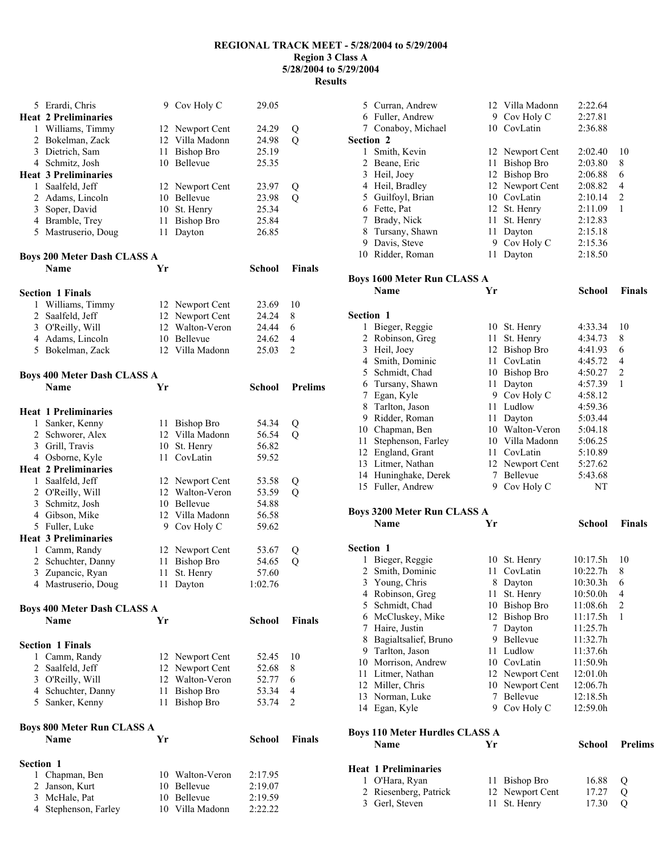|                  | 5 Erardi, Chris                                   |    | 9 Cov Holy C      | 29.05         |                |
|------------------|---------------------------------------------------|----|-------------------|---------------|----------------|
|                  | <b>Heat 2 Preliminaries</b>                       |    |                   |               |                |
|                  | 1 Williams, Timmy                                 |    | 12 Newport Cent   | 24.29         | Q              |
|                  | 2 Bokelman, Zack                                  | 12 | Villa Madonn      | 24.98         | Q              |
|                  | 3 Dietrich, Sam                                   | 11 | <b>Bishop Bro</b> | 25.19         |                |
|                  | 4 Schmitz, Josh                                   |    | 10 Bellevue       | 25.35         |                |
|                  | <b>Heat 3 Preliminaries</b>                       |    |                   |               |                |
|                  | 1 Saalfeld, Jeff                                  |    | 12 Newport Cent   | 23.97         | Q              |
|                  | 2 Adams, Lincoln                                  | 10 | Bellevue          | 23.98         | Q              |
|                  | 3 Soper, David                                    |    | 10 St. Henry      | 25.34         |                |
|                  | 4 Bramble, Trey                                   | 11 | <b>Bishop Bro</b> | 25.84         |                |
|                  | 5 Mastruserio, Doug                               | 11 | Dayton            | 26.85         |                |
|                  |                                                   |    |                   |               |                |
|                  | <b>Boys 200 Meter Dash CLASS A</b><br><b>Name</b> | Yr |                   | <b>School</b> | <b>Finals</b>  |
|                  |                                                   |    |                   |               |                |
|                  | <b>Section 1 Finals</b>                           |    |                   |               |                |
| 1                | Williams, Timmy                                   |    | 12 Newport Cent   | 23.69         | 10             |
|                  | 2 Saalfeld, Jeff                                  |    | 12 Newport Cent   | 24.24         | 8              |
|                  | 3 O'Reilly, Will                                  | 12 | Walton-Veron      | 24.44         | 6              |
|                  | 4 Adams, Lincoln                                  |    | 10 Bellevue       | 24.62         | 4              |
|                  | 5 Bokelman, Zack                                  |    | 12 Villa Madonn   | 25.03         | 2              |
|                  |                                                   |    |                   |               |                |
|                  | <b>Boys 400 Meter Dash CLASS A</b><br><b>Name</b> | Yr |                   | School        | <b>Prelims</b> |
|                  |                                                   |    |                   |               |                |
|                  | <b>Heat 1 Preliminaries</b>                       |    |                   |               |                |
|                  | 1 Sanker, Kenny                                   | 11 | <b>Bishop Bro</b> | 54.34         | Q              |
|                  | 2 Schworer, Alex                                  | 12 | Villa Madonn      | 56.54         | Q              |
|                  | 3 Grill, Travis                                   |    | 10 St. Henry      | 56.82         |                |
|                  | 4 Osborne, Kyle                                   | 11 | CovLatin          | 59.52         |                |
|                  | <b>Heat 2 Preliminaries</b>                       |    |                   |               |                |
|                  | 1 Saalfeld, Jeff                                  |    | 12 Newport Cent   | 53.58         | Q              |
|                  | 2 O'Reilly, Will                                  | 12 | Walton-Veron      | 53.59         | $\overline{Q}$ |
|                  | 3 Schmitz, Josh                                   |    | 10 Bellevue       | 54.88         |                |
|                  | 4 Gibson, Mike                                    |    | 12 Villa Madonn   | 56.58         |                |
|                  | 5 Fuller, Luke                                    |    | 9 Cov Holy C      | 59.62         |                |
|                  | <b>Heat 3 Preliminaries</b>                       |    |                   |               |                |
|                  | 1 Camm, Randy                                     |    | 12 Newport Cent   | 53.67         | Q              |
|                  | 2 Schuchter, Danny                                | 11 | <b>Bishop Bro</b> | 54.65         | Q              |
| 3                | Zupancic, Ryan                                    | 11 | St. Henry         | 57.60         |                |
| 4                | Mastruserio, Doug                                 |    | 11 Dayton         | 1:02.76       |                |
|                  |                                                   |    |                   |               |                |
|                  | <b>Boys 400 Meter Dash CLASS A</b><br>Name        | Yr |                   | <b>School</b> | <b>Finals</b>  |
|                  |                                                   |    |                   |               |                |
|                  | <b>Section 1 Finals</b>                           |    |                   |               |                |
|                  | 1 Camm, Randy                                     |    | 12 Newport Cent   | 52.45         | 10             |
|                  | 2 Saalfeld, Jeff                                  | 12 | Newport Cent      | 52.68         | 8              |
|                  | 3 O'Reilly, Will                                  | 12 | Walton-Veron      | 52.77         | 6              |
|                  | 4 Schuchter, Danny                                | 11 | Bishop Bro        | 53.34         | 4              |
|                  | 5 Sanker, Kenny                                   | 11 | <b>Bishop Bro</b> | 53.74         | 2              |
|                  | <b>Boys 800 Meter Run CLASS A</b>                 |    |                   |               |                |
|                  | Name                                              | Yr |                   | <b>School</b> | Finals         |
|                  |                                                   |    |                   |               |                |
| <b>Section 1</b> |                                                   |    |                   |               |                |
|                  | 1 Chapman, Ben                                    |    | 10 Walton-Veron   | 2:17.95       |                |
|                  | 2 Janson, Kurt                                    | 10 | Bellevue          | 2:19.07       |                |
|                  | 3 McHale, Pat                                     |    | 10 Bellevue       | 2:19.59       |                |
|                  | 4 Stephenson, Farley                              |    | 10 Villa Madonn   | 2:22.22       |                |

|                | 5 Curran, Andrew                      |    | 12 Villa Madonn   | 2:22.64       |                |
|----------------|---------------------------------------|----|-------------------|---------------|----------------|
|                | 6 Fuller, Andrew                      |    | 9 Cov Holy C      | 2:27.81       |                |
| 7              | Conaboy, Michael                      |    | 10 CovLatin       | 2:36.88       |                |
| Section 2      |                                       |    |                   |               |                |
|                | 1 Smith, Kevin                        |    |                   | 2:02.40       | 10             |
|                |                                       |    | 12 Newport Cent   |               |                |
|                | 2 Beane, Eric                         | 11 | <b>Bishop Bro</b> | 2:03.80       | 8              |
|                | 3 Heil, Joey                          |    | 12 Bishop Bro     | 2:06.88       | 6              |
|                | 4 Heil, Bradley                       |    | 12 Newport Cent   | 2:08.82       | 4              |
|                | 5 Guilfoyl, Brian                     |    | 10 CovLatin       | 2:10.14       | 2              |
|                | 6 Fette, Pat                          | 12 | St. Henry         | 2:11.09       | 1              |
| 7              | Brady, Nick                           | 11 | St. Henry         | 2:12.83       |                |
|                | 8 Tursany, Shawn                      | 11 | Dayton            | 2:15.18       |                |
|                | 9 Davis, Steve                        | 9  | Cov Holy C        | 2:15.36       |                |
|                | 10 Ridder, Roman                      | 11 | Dayton            | 2:18.50       |                |
|                | <b>Boys 1600 Meter Run CLASS A</b>    |    |                   |               |                |
|                | <b>Name</b>                           | Yr |                   | School        | <b>Finals</b>  |
| Section 1      |                                       |    |                   |               |                |
|                | 1 Bieger, Reggie                      |    | 10 St. Henry      | 4:33.34       | 10             |
|                | 2 Robinson, Greg                      | 11 | St. Henry         | 4:34.73       | 8              |
| 3              | Heil, Joey                            | 12 | <b>Bishop Bro</b> | 4:41.93       | 6              |
|                | 4 Smith, Dominic                      | 11 | CovLatin          | 4:45.72       | 4              |
|                | 5 Schmidt, Chad                       |    | 10 Bishop Bro     | 4:50.27       | $\overline{c}$ |
|                | 6 Tursany, Shawn                      | 11 | Dayton            | 4:57.39       | 1              |
|                | 7 Egan, Kyle                          |    | 9 Cov Holy C      | 4:58.12       |                |
|                | 8 Tarlton, Jason                      | 11 | Ludlow            | 4:59.36       |                |
|                | 9 Ridder, Roman                       | 11 | Dayton            | 5:03.44       |                |
|                | 10 Chapman, Ben                       |    | 10 Walton-Veron   | 5:04.18       |                |
| 11             | Stephenson, Farley                    |    | 10 Villa Madonn   | 5:06.25       |                |
|                | 12 England, Grant                     | 11 | CovLatin          | 5:10.89       |                |
|                | 13 Litmer, Nathan                     |    | 12 Newport Cent   | 5:27.62       |                |
|                | 14 Huninghake, Derek                  |    | 7 Bellevue        | 5:43.68       |                |
|                | 15 Fuller, Andrew                     | 9. | Cov Holy C        | NΤ            |                |
|                | <b>Boys 3200 Meter Run CLASS A</b>    |    |                   |               |                |
|                | <b>Name</b>                           | Yr |                   | School        | <b>Finals</b>  |
|                |                                       |    |                   |               |                |
|                |                                       |    |                   |               |                |
|                | Section 1                             |    |                   |               |                |
| 1              | Bieger, Reggie                        | 10 | St. Henry         | 10:17.5h      | 10             |
| $\overline{2}$ | Smith, Dominic                        | 11 | CovLatin          | 10:22.7h      | 8              |
| 3              | Young, Chris                          | 8  | Dayton            | 10:30.3h      | 6              |
| 4              | Robinson, Greg                        | 11 | St. Henry         | 10:50.0h      | 4              |
| 5              | Schmidt, Chad                         | 10 | <b>Bishop Bro</b> | 11:08.6h      | $\overline{c}$ |
| 6              | McCluskey, Mike                       | 12 | <b>Bishop Bro</b> | 11:17.5h      | 1              |
| 7              | Haire, Justin                         | 7  | Dayton            | 11:25.7h      |                |
| 8              | Bagialtsalief, Bruno                  |    | 9 Bellevue        | 11:32.7h      |                |
| 9              | Tarlton, Jason                        | 11 | Ludlow            | 11:37.6h      |                |
| 10             | Morrison, Andrew                      |    | 10 CovLatin       | 11:50.9h      |                |
| 11             | Litmer, Nathan                        | 12 | Newport Cent      | 12:01.0h      |                |
|                | 12 Miller, Chris                      | 10 | Newport Cent      | 12:06.7h      |                |
|                | 13 Norman, Luke                       | 7  | Bellevue          | 12:18.5h      |                |
|                | 14 Egan, Kyle                         | 9  | Cov Holy C        | 12:59.0h      |                |
|                | <b>Boys 110 Meter Hurdles CLASS A</b> |    |                   |               |                |
|                | Name                                  | Yr |                   | <b>School</b> | <b>Prelims</b> |
|                | <b>Heat 1 Preliminaries</b>           |    |                   |               |                |
| 1              | O'Hara, Ryan                          | 11 | Bishop Bro        | 16.88         | Q              |
| 2              | Riesenberg, Patrick                   | 12 | Newport Cent      | 17.27         | Q              |
| 3              | Gerl, Steven                          | 11 | St. Henry         | 17.30         | Q              |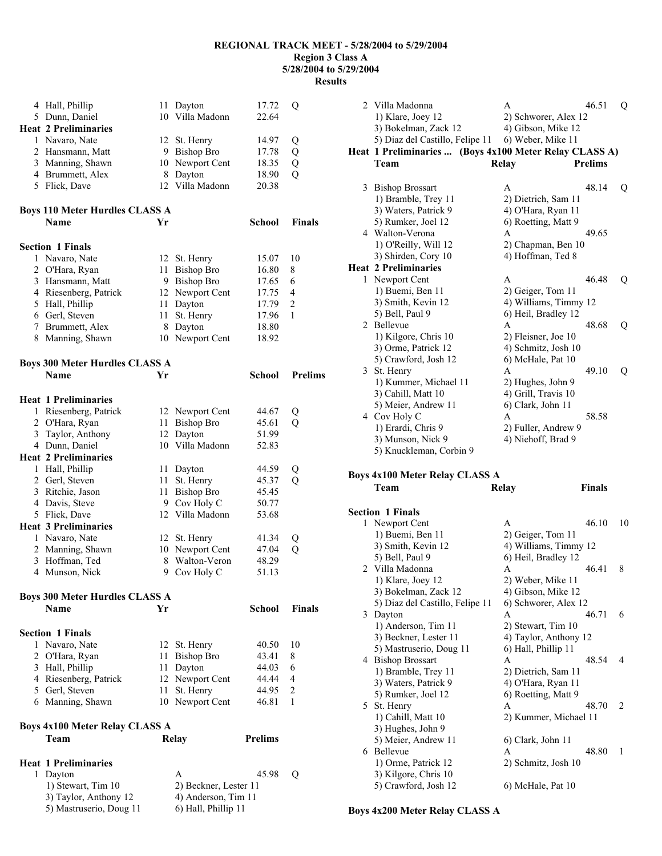|   | 4 Hall, Phillip                                      |    | 11 Dayton                                  | 17.72          | Q              |
|---|------------------------------------------------------|----|--------------------------------------------|----------------|----------------|
|   | 5 Dunn, Daniel                                       |    | 10 Villa Madonn                            | 22.64          |                |
|   | <b>Heat 2 Preliminaries</b>                          |    |                                            |                |                |
|   | 1 Navaro, Nate                                       |    | 12 St. Henry                               | 14.97          | Q              |
|   | 2 Hansmann, Matt                                     |    | 9 Bishop Bro                               | 17.78          | Q              |
|   | 3 Manning, Shawn                                     | 10 | Newport Cent                               | 18.35          | $\overline{Q}$ |
|   |                                                      | 8  | Dayton                                     |                | $\overline{Q}$ |
|   | 4 Brummett, Alex                                     |    |                                            | 18.90          |                |
|   | 5 Flick, Dave                                        | 12 | Villa Madonn                               | 20.38          |                |
|   |                                                      |    |                                            |                |                |
|   | <b>Boys 110 Meter Hurdles CLASS A</b>                |    |                                            |                |                |
|   | <b>Name</b>                                          | Yr |                                            | School         | <b>Finals</b>  |
|   |                                                      |    |                                            |                |                |
|   | <b>Section 1 Finals</b>                              |    |                                            |                |                |
|   | 1 Navaro, Nate                                       |    | 12 St. Henry                               | 15.07          | 10             |
|   | 2 O'Hara, Ryan                                       | 11 | <b>Bishop Bro</b>                          | 16.80          | 8              |
|   | 3 Hansmann, Matt                                     |    | 9 Bishop Bro                               | 17.65          | 6              |
|   | 4 Riesenberg, Patrick                                | 12 | Newport Cent                               | 17.75          | 4              |
|   | 5 Hall, Phillip                                      | 11 | Dayton                                     | 17.79          | 2              |
|   | 6 Gerl, Steven                                       | 11 | St. Henry                                  | 17.96          | 1              |
|   | 7 Brummett, Alex                                     | 8  | Dayton                                     | 18.80          |                |
|   | 8 Manning, Shawn                                     | 10 | Newport Cent                               | 18.92          |                |
|   |                                                      |    |                                            |                |                |
|   |                                                      |    |                                            |                |                |
|   | <b>Boys 300 Meter Hurdles CLASS A</b><br><b>Name</b> |    |                                            |                |                |
|   |                                                      | Yr |                                            | <b>School</b>  | <b>Prelims</b> |
|   |                                                      |    |                                            |                |                |
|   | <b>Heat 1 Preliminaries</b>                          |    |                                            |                |                |
|   | 1 Riesenberg, Patrick                                |    | 12 Newport Cent                            | 44.67          | Q              |
|   | 2 O'Hara, Ryan                                       | 11 | <b>Bishop Bro</b>                          | 45.61          | Q              |
|   | 3 Taylor, Anthony                                    | 12 | Dayton                                     | 51.99          |                |
|   | 4 Dunn, Daniel                                       | 10 | Villa Madonn                               | 52.83          |                |
|   | <b>Heat 2 Preliminaries</b>                          |    |                                            |                |                |
|   | 1 Hall, Phillip                                      | 11 | Dayton                                     | 44.59          | Q              |
|   | 2 Gerl, Steven                                       | 11 | St. Henry                                  | 45.37          | Q              |
|   | 3 Ritchie, Jason                                     | 11 | <b>Bishop Bro</b>                          | 45.45          |                |
|   | 4 Davis, Steve                                       | 9  | Cov Holy C                                 | 50.77          |                |
|   |                                                      |    | Villa Madonn                               | 53.68          |                |
|   |                                                      |    |                                            |                |                |
|   | 5 Flick, Dave                                        | 12 |                                            |                |                |
|   | <b>Heat 3 Preliminaries</b>                          |    |                                            |                |                |
|   | 1 Navaro, Nate                                       | 12 | St. Henry                                  | 41.34          | Q              |
|   | 2 Manning, Shawn                                     | 10 | Newport Cent                               | 47.04          | Q              |
|   | 3 Hoffman, Ted                                       | 8  | Walton-Veron                               | 48.29          |                |
|   | 4 Munson, Nick                                       | 9. | Cov Holy C                                 | 51.13          |                |
|   |                                                      |    |                                            |                |                |
|   | <b>Boys 300 Meter Hurdles CLASS A</b>                |    |                                            |                |                |
|   | <b>Name</b>                                          | Yr |                                            | School         | <b>Finals</b>  |
|   |                                                      |    |                                            |                |                |
|   | <b>Section 1 Finals</b>                              |    |                                            |                |                |
| 1 | Navaro, Nate                                         |    | 12 St. Henry                               | 40.50          | 10             |
|   | 2 O'Hara, Ryan                                       | 11 | <b>Bishop Bro</b>                          | 43.41          | 8              |
|   | 3 Hall, Phillip                                      | 11 | Dayton                                     | 44.03          | 6              |
|   |                                                      | 12 |                                            |                | 4              |
|   | 4 Riesenberg, Patrick                                | 11 | Newport Cent                               | 44.44          | 2              |
|   | 5 Gerl, Steven                                       |    | St. Henry                                  | 44.95          | 1              |
|   | 6 Manning, Shawn                                     |    | 10 Newport Cent                            | 46.81          |                |
|   |                                                      |    |                                            |                |                |
|   | <b>Boys 4x100 Meter Relay CLASS A</b>                |    |                                            |                |                |
|   | Team                                                 |    | <b>Relay</b>                               | <b>Prelims</b> |                |
|   |                                                      |    |                                            |                |                |
|   | <b>Heat 1 Preliminaries</b>                          |    |                                            |                |                |
|   | 1 Dayton                                             |    | A                                          | 45.98          | Q              |
|   | 1) Stewart, Tim 10                                   |    | 2) Beckner, Lester 11                      |                |                |
|   | 3) Taylor, Anthony 12<br>5) Mastruserio, Doug 11     |    | 4) Anderson, Tim 11<br>6) Hall, Phillip 11 |                |                |

|   | 2 Villa Madonna<br>1) Klare, Joey 12<br>3) Bokelman, Zack 12<br>5) Diaz del Castillo, Felipe 11                           | A<br>2) Schworer, Alex 12<br>4) Gibson, Mike 12<br>6) Weber, Mike 11     | 46.51          | Q  |
|---|---------------------------------------------------------------------------------------------------------------------------|--------------------------------------------------------------------------|----------------|----|
|   | Heat 1 Preliminaries  (Boys 4x100 Meter Relay CLASS A)<br>Team                                                            | Relay                                                                    | <b>Prelims</b> |    |
| 3 | <b>Bishop Brossart</b><br>1) Bramble, Trey 11<br>3) Waters, Patrick 9                                                     | A<br>2) Dietrich, Sam 11<br>4) O'Hara, Ryan 11                           | 48.14          | Q  |
|   | 5) Rumker, Joel 12<br>4 Walton-Verona<br>1) O'Reilly, Will 12<br>3) Shirden, Cory 10                                      | 6) Roetting, Matt 9<br>A<br>2) Chapman, Ben 10<br>4) Hoffman, Ted 8      | 49.65          |    |
| 1 | <b>Heat 2 Preliminaries</b><br>Newport Cent                                                                               | A                                                                        | 46.48          | Q  |
|   | 1) Buemi, Ben 11<br>3) Smith, Kevin 12<br>5) Bell, Paul 9                                                                 | 2) Geiger, Tom 11<br>4) Williams, Timmy 12<br>6) Heil, Bradley 12        |                |    |
| 2 | Bellevue<br>1) Kilgore, Chris 10<br>3) Orme, Patrick 12                                                                   | A<br>2) Fleisner, Joe 10<br>4) Schmitz, Josh 10                          | 48.68          | Q  |
| 3 | 5) Crawford, Josh 12<br>St. Henry<br>1) Kummer, Michael 11<br>3) Cahill, Matt 10                                          | 6) McHale, Pat 10<br>A<br>2) Hughes, John 9<br>4) Grill, Travis 10       | 49.10          | Q  |
|   | 5) Meier, Andrew 11<br>4 Cov Holy C<br>1) Erardi, Chris 9<br>3) Munson, Nick 9                                            | 6) Clark, John 11<br>A<br>2) Fuller, Andrew 9<br>4) Niehoff, Brad 9      | 58.58          |    |
|   | 5) Knuckleman, Corbin 9                                                                                                   |                                                                          |                |    |
|   | <b>Boys 4x100 Meter Relay CLASS A</b><br>Team                                                                             | Relay                                                                    | <b>Finals</b>  |    |
|   | <b>Section 1 Finals</b>                                                                                                   |                                                                          |                |    |
|   | 1 Newport Cent<br>1) Buemi, Ben 11<br>3) Smith, Kevin 12                                                                  | A<br>2) Geiger, Tom 11<br>4) Williams, Timmy 12                          | 46.10          | 10 |
|   | 5) Bell, Paul 9<br>2 Villa Madonna<br>1) Klare, Joey 12<br>3) Bokelman, Zack 12                                           | 6) Heil, Bradley 12<br>Α<br>2) Weber, Mike 11<br>4) Gibson, Mike 12      | 46.41          | 8  |
| 3 | 5) Diaz del Castillo, Felipe 11<br>Dayton<br>1) Anderson, Tim 11                                                          | 6) Schworer, Alex 12<br>A<br>2) Stewart, Tim 10                          | 46.71          | 6  |
| 4 | 3) Beckner, Lester 11<br>5) Mastruserio, Doug 11<br><b>Bishop Brossart</b><br>1) Bramble, Trey 11                         | 4) Taylor, Anthony 12<br>6) Hall, Phillip 11<br>A<br>2) Dietrich, Sam 11 | 48.54          | 4  |
| 5 | 3) Waters, Patrick 9<br>5) Rumker, Joel 12<br>St. Henry                                                                   | 4) O'Hara, Ryan 11<br>6) Roetting, Matt 9<br>A                           | 48.70          | 2  |
| 6 | 1) Cahill, Matt 10<br>3) Hughes, John 9<br>5) Meier, Andrew 11<br>Bellevue<br>1) Orme, Patrick 12<br>3) Kilgore, Chris 10 | 2) Kummer, Michael 11<br>6) Clark, John 11<br>A<br>2) Schmitz, Josh 10   | 48.80          | 1  |

**Boys 4x200 Meter Relay CLASS A**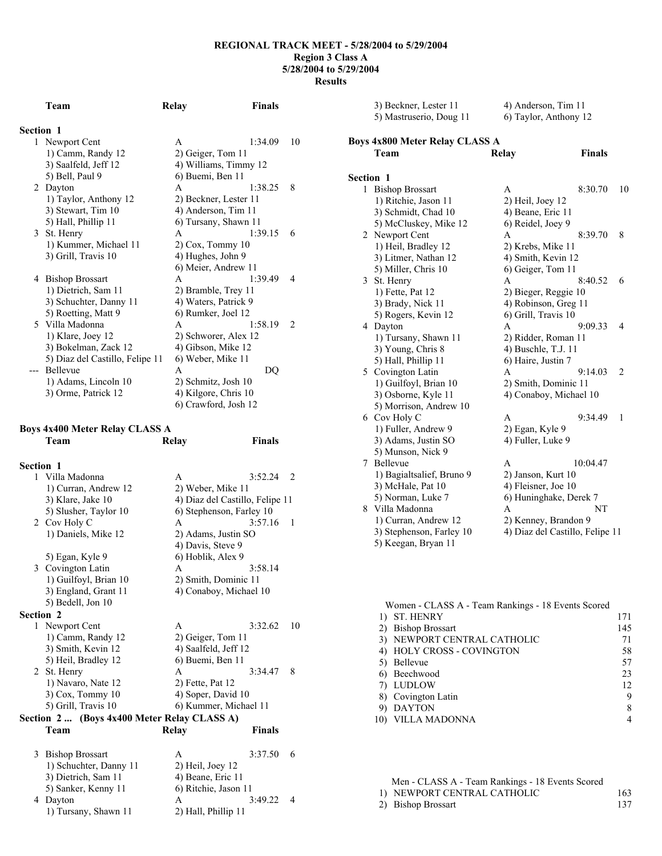|                  | Team                            | Relay                 | <b>Finals</b> |               |
|------------------|---------------------------------|-----------------------|---------------|---------------|
| <b>Section 1</b> |                                 |                       |               |               |
| 1                | Newport Cent                    | A                     | 1:34.09       | 10            |
|                  | 1) Camm, Randy 12               | 2) Geiger, Tom 11     |               |               |
|                  | 3) Saalfeld, Jeff 12            | 4) Williams, Timmy 12 |               |               |
|                  | 5) Bell, Paul 9                 | 6) Buemi, Ben 11      |               |               |
|                  | 2 Dayton                        | A                     | 1:38.25       | 8             |
|                  | 1) Taylor, Anthony 12           | 2) Beckner, Lester 11 |               |               |
|                  | 3) Stewart, Tim 10              | 4) Anderson, Tim 11   |               |               |
|                  | 5) Hall, Phillip 11             | 6) Tursany, Shawn 11  |               |               |
|                  | 3 St. Henry                     | A                     | 1.3915        | 6             |
|                  | 1) Kummer, Michael 11           | $2)$ Cox, Tommy 10    |               |               |
|                  | 3) Grill, Travis 10             | 4) Hughes, John 9     |               |               |
|                  |                                 | 6) Meier, Andrew 11   |               |               |
|                  | 4 Bishop Brossart               | A                     | 1:39.49       | 4             |
|                  | 1) Dietrich, Sam 11             | 2) Bramble, Trey 11   |               |               |
|                  | 3) Schuchter, Danny 11          | 4) Waters, Patrick 9  |               |               |
|                  | 5) Roetting, Matt 9             | 6) Rumker, Joel 12    |               |               |
|                  | 5 Villa Madonna                 | A                     | 1.5819        | $\mathcal{L}$ |
|                  | 1) Klare, Joey 12               | 2) Schworer, Alex 12  |               |               |
|                  | 3) Bokelman, Zack 12            | 4) Gibson, Mike 12    |               |               |
|                  | 5) Diaz del Castillo, Felipe 11 | 6) Weber, Mike 11     |               |               |
| $---$            | <b>Bellevue</b>                 | A                     | DQ            |               |
|                  | 1) Adams, Lincoln 10            | 2) Schmitz, Josh 10   |               |               |
|                  | 3) Orme, Patrick 12             | 4) Kilgore, Chris 10  |               |               |
|                  |                                 | 6) Crawford, Josh 12  |               |               |

#### **Boys 4x400 Meter Relay CLASS A Team Relay Finals**

**Section 1**  1 Villa Madonna A 3:52.24 2 1) Curran, Andrew 12 2) Weber, Mike 11<br>3) Klare, Jake 10 4) Diaz del Castillo 3) Klare, Jake 10 4) Diaz del Castillo, Felipe 11 5) Slusher, Taylor 10 6) Stephenson, Farley 10 6) Stephenson, Farley  $10$ <br>A  $3:57.16$  1 2 Cov Holy C A 3:<br>1) Daniels, Mike 12 2) Adams, Justin SO 1) Daniels, Mike 12 4) Davis, Steve 9 5) Egan, Kyle 9 6) Hoblik, Alex 9 3 Covington Latin A 3:58.14 1) Guilfoyl, Brian 10 2) Smith, Dominic 11 3) England, Grant 11 4) Conaboy, Michael 10 5) Bedell, Jon 10 **Section 2**  1 Newport Cent A 3:32.62 10 1) Camm, Randy 12 2) Geiger, Tom 11 3) Smith, Kevin 12 4) Saalfeld, Jeff 12 5) Heil, Bradley 12 6) Buemi, Ben 11 2 St. Henry A 3:34.47 8<br>1) Navaro, Nate 12 2) Fette, Pat 12 1) Navaro, Nate 12<br>3) Cox, Tommy 10 4) Soper, David 10 5) Grill, Travis 10 6) Kummer, Michael 11 **Section 2 ... (Boys 4x400 Meter Relay CLASS A) Team Relay Finals**  3 Bishop Brossart A 3:37.50 6 1) Schuchter, Danny 11 2) Heil, Joey 12

| 3) Dietrich, Sam 11  | 4) Beane, Eric 11    |         |  |
|----------------------|----------------------|---------|--|
| 5) Sanker, Kenny 11  | 6) Ritchie, Jason 11 |         |  |
| 4 Dayton             |                      | 3:49.22 |  |
| 1) Tursany, Shawn 11 | 2) Hall, Phillip 11  |         |  |
|                      |                      |         |  |

| 4x800 Meter Relay CLASS A |                       |
|---------------------------|-----------------------|
| 5) Mastruserio, Doug 11   | 6) Taylor, Anthony 12 |
| 3) Beckner, Lester 11     | 4) Anderson, Tim 11   |

**Boys 4x800 Meter Relay Team Relay Finals** 

| Section 1 |                           |                                 |          |                |
|-----------|---------------------------|---------------------------------|----------|----------------|
| 1         | <b>Bishop Brossart</b>    | A                               | 8:30.70  | 10             |
|           | 1) Ritchie, Jason 11      | $2)$ Heil, Joey 12              |          |                |
|           | 3) Schmidt, Chad 10       | 4) Beane, Eric 11               |          |                |
|           | 5) McCluskey, Mike 12     | 6) Reidel, Joey 9               |          |                |
|           | 2 Newport Cent            | A                               | 8:39.70  | 8              |
|           | 1) Heil, Bradley 12       | 2) Krebs, Mike 11               |          |                |
|           | 3) Litmer, Nathan 12      | 4) Smith, Kevin 12              |          |                |
|           | 5) Miller, Chris 10       | 6) Geiger, Tom 11               |          |                |
|           | 3 St. Henry               | A                               | 8:40.52  | 6              |
|           | 1) Fette, Pat 12          | 2) Bieger, Reggie 10            |          |                |
|           | 3) Brady, Nick 11         | 4) Robinson, Greg 11            |          |                |
|           | 5) Rogers, Kevin 12       | 6) Grill, Travis 10             |          |                |
|           | 4 Dayton                  | A                               | 9:09.33  | $\overline{4}$ |
|           | 1) Tursany, Shawn 11      | 2) Ridder, Roman 11             |          |                |
|           | 3) Young, Chris 8         | 4) Buschle, T.J. 11             |          |                |
|           | 5) Hall, Phillip 11       | 6) Haire, Justin 7              |          |                |
|           | 5 Covington Latin         | A                               | 9:14.03  | 2              |
|           | 1) Guilfoyl, Brian 10     | 2) Smith, Dominic 11            |          |                |
|           | 3) Osborne, Kyle 11       | 4) Conaboy, Michael 10          |          |                |
|           | 5) Morrison, Andrew 10    |                                 |          |                |
|           | 6 Cov Holy C              | A                               | 9:34.49  | 1              |
|           | 1) Fuller, Andrew 9       | 2) Egan, Kyle 9                 |          |                |
|           | 3) Adams, Justin SO       | 4) Fuller, Luke 9               |          |                |
|           | 5) Munson, Nick 9         |                                 |          |                |
| 7         | Bellevue                  | A                               | 10:04.47 |                |
|           | 1) Bagialtsalief, Bruno 9 | 2) Janson, Kurt 10              |          |                |
|           | 3) McHale, Pat 10         | 4) Fleisner, Joe 10             |          |                |
|           | 5) Norman, Luke 7         | 6) Huninghake, Derek 7          |          |                |
|           | 8 Villa Madonna           | A                               | NT       |                |
|           | 1) Curran, Andrew 12      | 2) Kenney, Brandon 9            |          |                |
|           | 3) Stephenson, Farley 10  | 4) Diaz del Castillo, Felipe 11 |          |                |
|           | 5) Keegan, Bryan 11       |                                 |          |                |

| Women - CLASS A - Team Rankings - 18 Events Scored |     |
|----------------------------------------------------|-----|
| ST. HENRY                                          | 171 |
| 2) Bishop Brossart                                 | 145 |
| NEWPORT CENTRAL CATHOLIC                           | 71  |
| HOLY CROSS - COVINGTON<br>4)                       | 58  |
| Bellevue                                           | 57  |
| Beechwood                                          | 23  |
| LUDLOW                                             | 12  |
| 8) Covington Latin                                 | 9   |
| <b>DAYTON</b>                                      | 8   |
| 10) VILLA MADONNA                                  |     |

| Men - CLASS A - Team Rankings - 18 Events Scored |     |
|--------------------------------------------------|-----|
| 1) NEWPORT CENTRAL CATHOLIC                      | 163 |
| 2) Bishop Brossart                               | 137 |